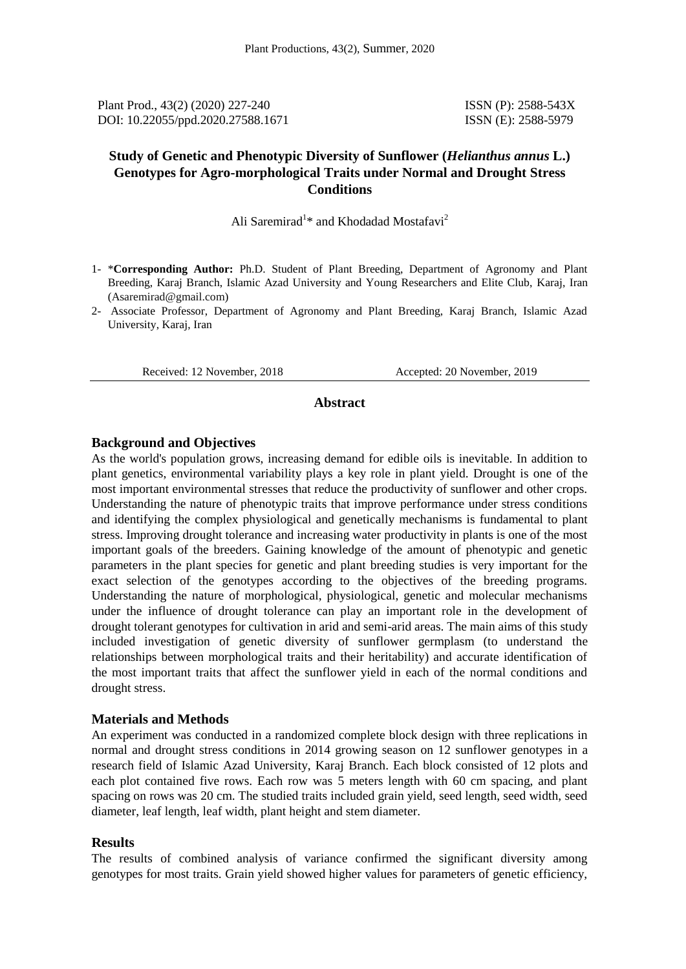Plant Prod., 43(2) (2020) 227-240 **ISSN** (P): 2588-543X DOI: 10.22055/ppd.2020.27588.1671 ISSN (E): 2588-5979

# **Study of Genetic and Phenotypic Diversity of Sunflower (***Helianthus annus* **L.) Genotypes for Agro-morphological Traits under Normal and Drought Stress Conditions**

Ali Saremirad<sup>1\*</sup> and Khodadad Mostafavi<sup>2</sup>

- 1- \***Corresponding Author:** Ph.D. Student of Plant Breeding, Department of Agronomy and Plant Breeding, Karaj Branch, Islamic Azad University and Young Researchers and Elite Club, Karaj, Iran [\(Asaremirad@gmail.com\)](mailto:Saremirad.Ali@gmail.com)
- 2- Associate Professor, Department of Agronomy and Plant Breeding, Karaj Branch, Islamic Azad University, Karaj, Iran

Received: 12 November, 2018 Accepted: 20 November, 2019

#### **Abstract**

#### **Background and Objectives**

As the world's population grows, increasing demand for edible oils is inevitable. In addition to plant genetics, environmental variability plays a key role in plant yield. Drought is one of the most important environmental stresses that reduce the productivity of sunflower and other crops. Understanding the nature of phenotypic traits that improve performance under stress conditions and identifying the complex physiological and genetically mechanisms is fundamental to plant stress. Improving drought tolerance and increasing water productivity in plants is one of the most important goals of the breeders. Gaining knowledge of the amount of phenotypic and genetic parameters in the plant species for genetic and plant breeding studies is very important for the exact selection of the genotypes according to the objectives of the breeding programs. Understanding the nature of morphological, physiological, genetic and molecular mechanisms under the influence of drought tolerance can play an important role in the development of drought tolerant genotypes for cultivation in arid and semi-arid areas. The main aims of this study included investigation of genetic diversity of sunflower germplasm (to understand the relationships between morphological traits and their heritability) and accurate identification of the most important traits that affect the sunflower yield in each of the normal conditions and drought stress.

## **Materials and Methods**

An experiment was conducted in a randomized complete block design with three replications in normal and drought stress conditions in 2014 growing season on 12 sunflower genotypes in a research field of Islamic Azad University, Karaj Branch. Each block consisted of 12 plots and each plot contained five rows. Each row was 5 meters length with 60 cm spacing, and plant spacing on rows was 20 cm. The studied traits included grain yield, seed length, seed width, seed diameter, leaf length, leaf width, plant height and stem diameter.

#### **Results**

The results of combined analysis of variance confirmed the significant diversity among genotypes for most traits. Grain yield showed higher values for parameters of genetic efficiency,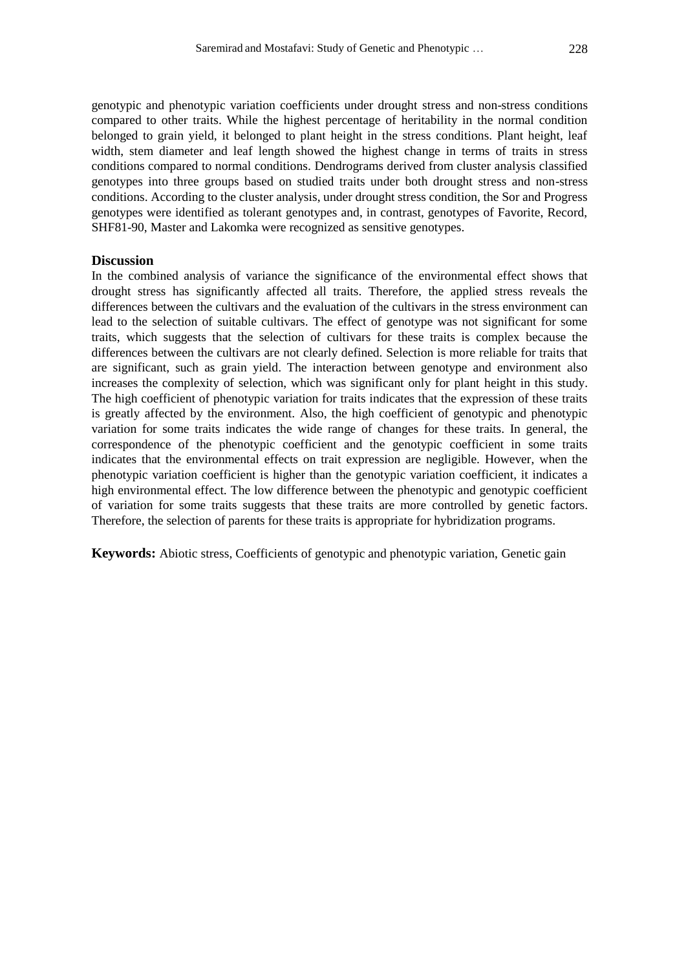genotypic and phenotypic variation coefficients under drought stress and non-stress conditions compared to other traits. While the highest percentage of heritability in the normal condition belonged to grain yield, it belonged to plant height in the stress conditions. Plant height, leaf width, stem diameter and leaf length showed the highest change in terms of traits in stress conditions compared to normal conditions. Dendrograms derived from cluster analysis classified genotypes into three groups based on studied traits under both drought stress and non-stress conditions. According to the cluster analysis, under drought stress condition, the Sor and Progress genotypes were identified as tolerant genotypes and, in contrast, genotypes of Favorite, Record, SHF81-90, Master and Lakomka were recognized as sensitive genotypes.

## **Discussion**

In the combined analysis of variance the significance of the environmental effect shows that drought stress has significantly affected all traits. Therefore, the applied stress reveals the differences between the cultivars and the evaluation of the cultivars in the stress environment can lead to the selection of suitable cultivars. The effect of genotype was not significant for some traits, which suggests that the selection of cultivars for these traits is complex because the differences between the cultivars are not clearly defined. Selection is more reliable for traits that are significant, such as grain yield. The interaction between genotype and environment also increases the complexity of selection, which was significant only for plant height in this study. The high coefficient of phenotypic variation for traits indicates that the expression of these traits is greatly affected by the environment. Also, the high coefficient of genotypic and phenotypic variation for some traits indicates the wide range of changes for these traits. In general, the correspondence of the phenotypic coefficient and the genotypic coefficient in some traits indicates that the environmental effects on trait expression are negligible. However, when the phenotypic variation coefficient is higher than the genotypic variation coefficient, it indicates a high environmental effect. The low difference between the phenotypic and genotypic coefficient of variation for some traits suggests that these traits are more controlled by genetic factors. Therefore, the selection of parents for these traits is appropriate for hybridization programs.

**Keywords:** Abiotic stress, Coefficients of genotypic and phenotypic variation, Genetic gain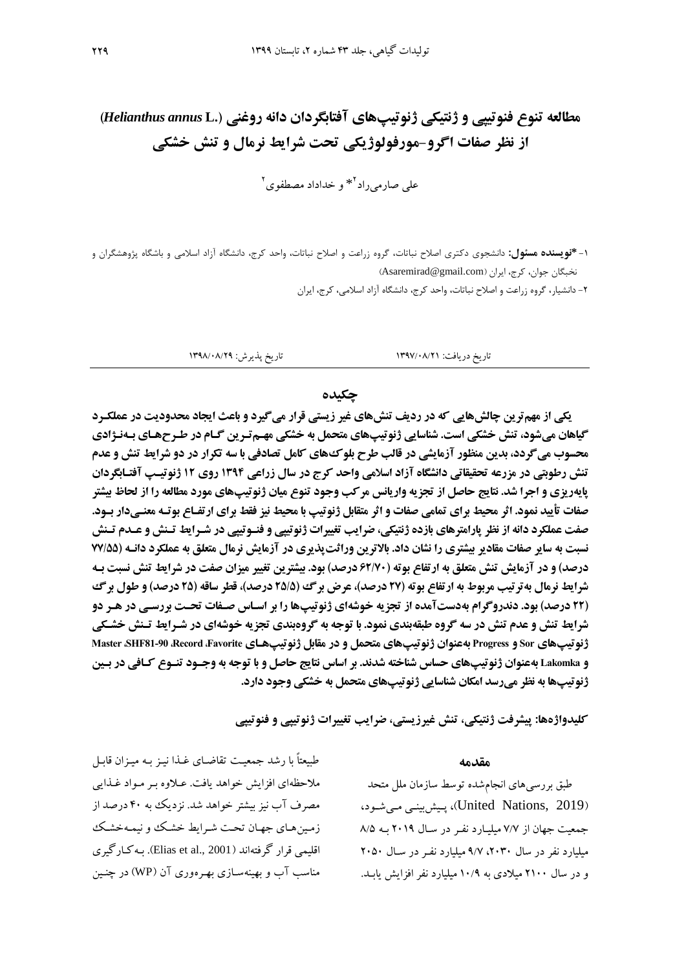# **مطالعه تنوع فنوتیپی و ژنتیکی ژنوتیپهای آفتابگردان دانه روغنی ).L** *annus Helianthus***) از نظر صفات اگرو-مورفولوژیکی تحت شرایط نرمال و تنش خشکی**

علی صارمیراد<sup>۲</sup>\* و خداداد مصطفوی<sup>۲</sup>

-9 **\*نویسنده مسئول:** دانشجوی دکتری اصالح نباتات، گروه زراعت و اصالح نباتات، واحد کرج، دانشگاه آزاد اسالمی و باشگاه پژوهشگران و نخبگان جوان، کرج، ایران (Asaremirad@gmail.com)

-2 دانشیار، گروه زراعت و اصالح نباتات، واحد کرج، دانشگاه آزاد اسالمی، کرج، ایران

## تاریخ دریافت: 9417/80/29 تاریخ پذیرش: 9410/80/21

## **چکیده**

**یکی از مهمترین چالشهایی که در ردیف تنشهای غیر زیستی قرار میگیرد و باعث ایجاد محدودیت در عملکررد گیاهان میشود، تنش خشکی است. شناسایی ژنوتیپهای متحمل به خشکی مهـم تـرین گـام در طـرحهـای بـهنـژادی محسوب می گردد، بدین منظور آزمایشی در قالب طرح بلوک های کامل تصادفی با سه تکرار در دو شرایط تنش و عدم تنش رروبتی در مزرعه تحقیقاتی دانشگاه آزاد اسالمی واحد کرج در سال زراعی 4931 روی 41 ژنوتیرپ آفترابگردان پایهریزی و اجرا شد. نتایج حاصل از تجزیه واریانس مرکب وجود تنوع میان ژنوتیپهای مورد مطالعه را از لحاظ بیشتر صفات تأیید نمود. اثر محیط برای تمامی صفات و اثر متقابل ژنوتیپ با محیط نیز فقط برای ارتفراع بوتره معنری دار برود . صفت عملکرد دانه از نظر پارامترهای بازده ژنتیکی، ضرایب تغییرات ژنوتیپی و فنروت یپی در شررایط ترنش و عرد ترنش نسبت به سایر صفات مقادیر بیشتری را نشان داد. بالاترین وراثت پذیری در آزمایش نرمال متعلق به عملکرد دانـه (77/55 درصد) و در آزمایش تنش متعلق به ارتفاع بوته (۶۲/۷۰ درصد) بود. بیشترین تغییر میزان صفت در شرایط تنش نسبت بـه شرایط نرمال بهترتیب مربوط به ارتفاع بوته )17 درصد(، عرض برگ )15/5 درصد(، قطر ساقه )15 درصد( و رول برگ**  (**۲۲ درصد) بود. دندروگرام بهدستآمده از تجزیه خوشهای ژنوتیپها را بر اسـاس صـفات تحـت بررسـی در هـر دو شرایط تنش و عدم تنش در سه گروه طبقهبندی نمود. با توجه به گروهبندی تجزیه خوشهای در شـرایط تـنش خشـکی ژنوتیپهای Sor و Progress بهعنوان ژنوتیپهای متحمل و در مقابل ژنوتیپهرای Favorite، Record، 81-90SHF، Master و Lakomka بهعنوان ژنوتیپهای حساس شناخته شدند. بر اساس نتایج حاصل و با توجه به وجـود تنـوع کـافی در بـین ژنوتیپها به نظر میرسد امکان شناسایی ژنوتیپهای متحمل به خشکی وجود دارد.**

**کلیدواژهها: پیشرفت ژنتیکی، تنش غیرزیستی، ضرایب تغییرات ژنوتیپی و فنوتیپی**

#### **مقدمه**

طبق بررسیهای انجامشده توسط سازمان ملل متحد )2019 ,Nations United)، پیی بینیی مییشیود، جمعیت جهان از ۷/۷ میلیارد نفر در سال ۲۰۱۹ به ۸/۵ میلیارد نفر در سال ۲۰۳۰، ۹/۷ میلیارد نفر در سال ۲۰۵۰ و در سال ۲۱۰۰ میلادی به ۱۰/۹ میلیارد نفر افزایش یاب

طسعتاً با رشد جمعیت تقاضای غـذا نیـز بـه میـزان قابـل ملاحظهای افزایش خواهد یافت. عیلاوه بیر میواد غذایی مصرف آب نیز بیشتر خواهد شد. نزدیک ب 38 درصد از زمیی هیای جهیان تحیت شیرایط خشیک و نیمی خشیک اقلیمی قرار گرفتهاند (Elias et al., 2001). به کیارگیری مناسب آب و بهینه سـازی بهـرهوری آن (WP) در چنـین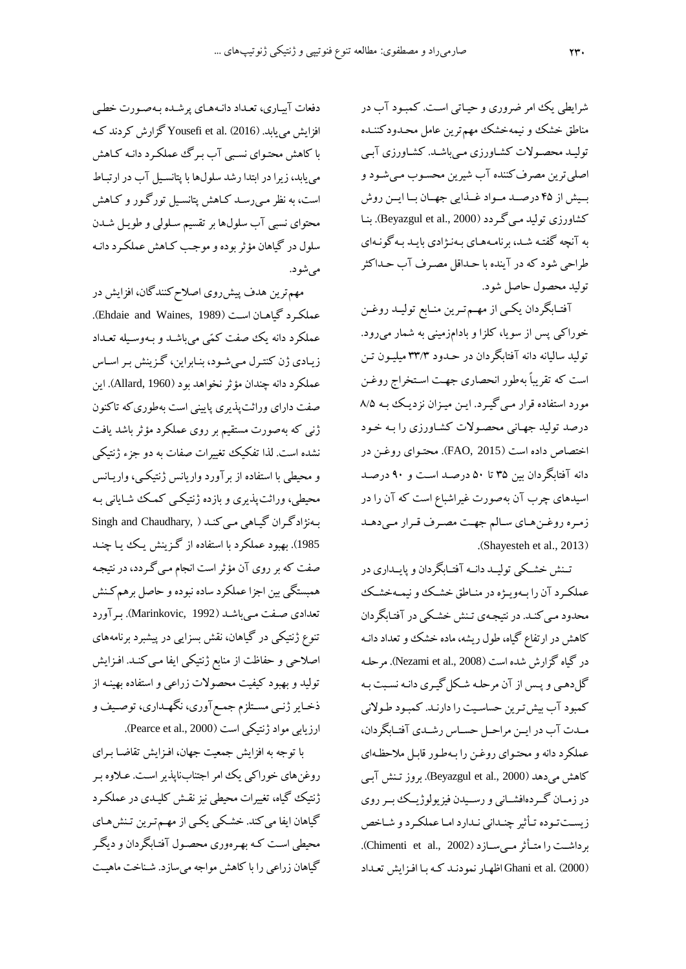شرایطی یک امر ضروری و حیاتی است. کمبود آب در مناطق خشک و نیمهخشک مهم ترین عامل محـدودکننـده تولیید محصیوشت کشیاورزی مییباشید. کشیاورزی آبیی اصلی ترین مصرف کننده آب شیرین محسوب می شـود و بیش از ۴۵ درصد مواد غذایی جهان با این روش کشاورزی تولید میی گردد (Beyazgul et al., 2000). بنا به آنچه گفته شد، برنامههای بهنژادی باید به گونهای طراحی شود که در آینده با حـداقل مصـرف آب حـداکثر تولید محصول حاصل شود.

آفتـابگردان یکـی از مهـمتـرین منـابع تولیــد روغـن خوراکی پس از سویا، کلزا و بادامزمینی به شمار میرود. تولید سالیانه دانه آفتابگردان در حـدود ۳۳/۳ میلیـون تـن است که تقریباً بهطور انحصاری جهت استخراج روغن مورد استفاده قرار میی گیرد. ایـن میـزان نزدیـک ببه ۵/۵ درصد تولید جهیانی محصیوشت کشیاورزی را بی خیود اختصاص داده است (FAO, 2015). محتوای روغن در دانه آفتابگردان بین ۳۵ تا ۵۰ درصد است و ۹۰ درصد اسیدهای چرب آن بهصورت غیراشباع است که آن را در زمیره روای هیای سیالم جهیت مصیرف یرار میی دهید .(Shayesteh et al., 2013)

تـنش خشـکی تولیـد دانـه آفتـابگردان و پایــداری در عملکرد آن را بهوییژه در مناطق خشک و نیمهخشک محدود می کنـد. در نتیجـهی تـنش خشـکی در آفتـابگردان کاهش در ارتفاع گیاه، طول ریشه، ماده خشک و تعداد دانـه در گیاه گزارش شده است (Nezami et al., 2008). مرحله گلدهیی و پیس از آن مرحلی شیکل گییری دانی نسیبت بی کمبود آب بیش ترین حساسیت را دارنـد. کمبـود طـولانی ملدت آب در ایـن مراحـل حسـاس رشــدی آفتـابگردان، عملکرد دانه و محتوای روغن را بهطور قابل ملاحظهای کاهش میدهد (2000 .Beyazgul et al). بروز تـنش آبـی در زمـان گـردهافشـانی و رسـیدن فیزیولوژیــك بــر روی زیستتوده تأثیر چندانی ندارد اما عملکرد و شاخص برداشست را متأثر مسی سازد (Chimenti et al., 2002). (2000) Ghani et al. اظهار نمودنید کیه بیا افزایش تعیداد

دفعات آبییاری، تعیداد دانی هیای پرشیده بی صیورت خطیی افزایش می یابد. Vousefi et al. (2016) گزارش کردند ک با کاهش محتوای نسبی آب برگ عملکرد دانـه کـاهش مییابد، زیرا در ابتدا رشد سلو ها با پتانسییل آب در ارتبیا است، به نظر مـی(سـد کـاهش پتانسـیل تورگـور و کـاهش محتوای نسبی آب سلول، ابر تقسیم سلولی و طویـل شـدن سلول در گیاهان مؤثر بوده و موجب کـاهش عملکـرد دانـه میشود.

مهم ترین هدف پیش روی اصلاح کنندگان، افزایش در عملکرد گیاهان است (Ehdaie and Waines, 1989). عملکرد دانه یک صفت کمّی میباشد و بـهوسـیله تعـداد زیادی ژن کنترل میشود، بنابراین، گزینش بر اساس عملکرد دانه چندان مؤثر نخواهد بود (Allard, 1960). این صفت دارای وراثتپذیری پایینی است بهطوریکه تاکنون ژنبی که بهصورت مستقیم بر روی عملکرد مؤثر باشد یافت نشده است. لذا تفکیک تغییرات صفات ب دو جزء ژنتیکی و محیطی با استفاده از برآورد واریانس ژنتیکیی، وارییانس محیطی، وراچتپذیری و بازده ژنتیکیی کمیک شیایانی بی به نژادگران گیاهی می کند ( ,Singh and Chaudhary 1985). بهبود عملکرد با استفاده از گزینش یک ییا چنـد صفت که بر روی آن مؤثر است انجام مـی گـردد، در نتیجـه همبستگی بین اجزا عملکرد ساده نبوده و حاصل برهم کـنش تعدادی صیفت میی باشید )1992 ,Marinkovic). بیر آورد تنوع ژنتیکی در گیاهان، نقش بسزایی در پیشبرد برنامههای اصلاحی و حفاظت از منابع ژنتیکی ایفا مییکند. افـزایش تولید و بهبود کیفیت محصوشت زراعی و استفاده بهینی از ذخیایر ژنیی مسیتلزم جمیل آوری، ندهیداری، توصیی و ارزیابی مواد ژنتیکی است (Pearce et al., 2000).

با توجه به افزایش جمعیت جهان، افـزایش تقاضـا بـرای روغن های خوراکی یک امر اجتنابناپذیر است. عـلاوه بـر ژنتیک گیاه، تغییرات محیطی نیز نای کلییدی در عملکیرد گیاهان ایفا میکند. خشیکی یکیی از مهیم تیری تین هیای محیطی است کـه بهـرهوری محصـول آفتـابگردان و دیگـر گیاهان زراعی را با کاهش مواجه می سازد. شـناخت ماهیـت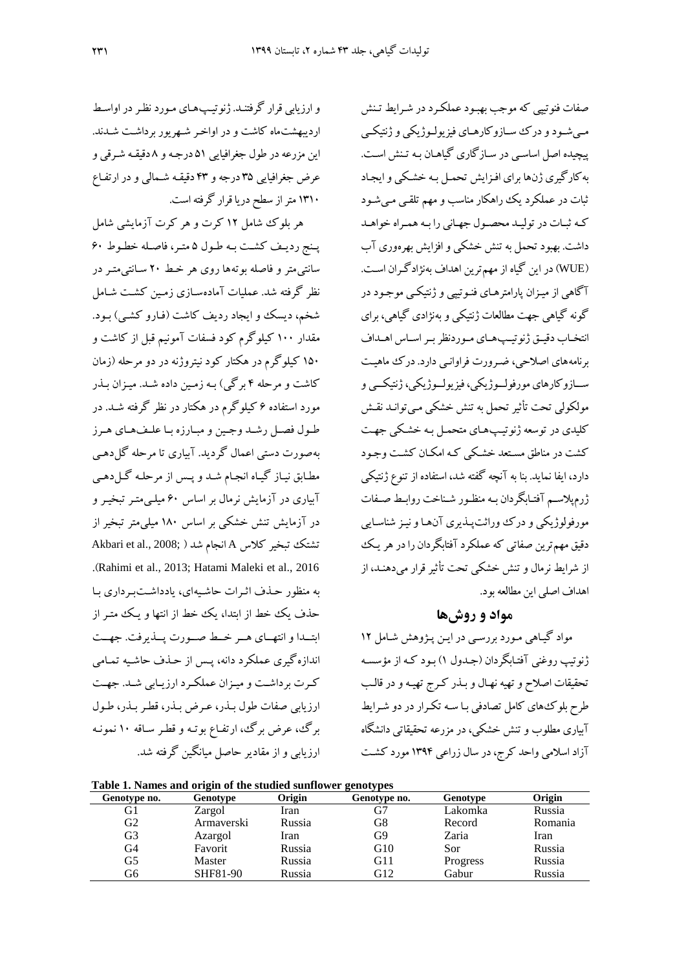و ارزیابی قرار گرفتنـد. ژنوتیـپ۱عـای مـورد نظـر در اواسـط اردیبهشتماه کاشت و در اواخیر شیهریور برداشیت شیدند . این مزرعه در طول جغرافیایی ۵۱ درجـه و ۸دقیقـه شـرقی و عرض جغرافیایی ۳۵ درجه و ۴۳ دقیقـه شـمالی و در ارتفـاع ۱۳۱۰ متر از سطح دریا قرار گرفته است.

هر بلوس شامل 92 کرت و هر کرت آزمایشی شامل پینج ردییف کشت به طول ۵ متیر، فاصله خطوط ۶۰ سانتیمتر و فاصله بوتهها روی هر خط ۲۰ سـانتیمتـر در نظر گرفته شد. عملیات آمادهسـازی زمـین کشـت شـامل شخم، دیسک و ایجاد ردیف کاشت (فـارو کشـی) بـود. مقدار ۱۰۰ کیلوگرم کود فسفات آمونیم قبل از کاشت و ۱۵۰ کیلوگرم در هکتار کود نیتروژنه در دو مرحله (زمان کاشت و مرحله ۴ برگی) بـه زمـین داده شـد. میـزان بـذر مورد استفاده 0 کیلوگرم در هکتار در نظر گرفت شید . در طول فصل رشد وجین و مبارزه با علـفهـای هـرز به صورت دستی اعمال گردید. آبیاری تا مرحله گل دهبی مطیابق نییاز گییاه انجیام شید و پیس از مرحلی گیل دهیی آبیاری در آزمایش نرمال بر اساس ۶۰ میلهی متبر تبخیبر و در آزمایش تنش خشکی بر اساس ۱۸۰ میلی متر تبخیر از تشتک تبخیر کلاس A انجام شد ( ;Akbari et al., 2008 .)Rahimi et al., 2013; Hatami Maleki et al., 2016 به منظور حذف اثرات حاشیهای، یادداشتبر داری با حذف یک خط از ابتدا، یک خط از انتها و ییک متیر از ابتییدا و انتهییای هییر خییط صییورت پییذیرفت. جهییت اندازهگیری عملکرد دانه، پس از حذف حاشیه تمـامی کیرت برداشیت و مییزان عملکیرد ارزییابی شید . جهیت ارزیابی صفات طو بیذر، عیرض بیذر، طیر بیذر، طیو برگ، عرض برگ، ارتفاع بوتـه و قطـر سـاقه ۱۰ نمونـه ارزیابی و از مقادیر حاصل میانگین گرفته شد.

صفات فنوتیپی که موجب بهبود عملکرد در شرایط تـنش مـیشـود و درک سازوکارهـای فیزیولـوژیکی و ژنتیکـی پیچیده اصل اساسیی در سیازگاری گیاهیان بی تین اسیت . به کارگیری ژنها برای افزایش تحمل به خشکی و ایجاد چبات در عملکرد یک راهکار مناسب و مهم تلایی میی شیود کی چبیات در تولیید محصیو جهیانی را بی همیراه خواهید داشت. بهبود تحمل به تنش خشکی و افزایش بهرهوری آب )WUE )در ای گیاه از مهمتری اهداف ب ناادگیران اسیت . آگاهی از مییزان پارامترهیای فنیوتیپی و ژنتیکیی موجیود در گونه گیاهی جهت مطالعات ژنتیکی و بهنژادی گیاهی، برای انتخـاب دقیــق ژنوتیــیهـای مـوردنظر بـر اسـاس اهــداف برنامه های اصلاحی، ضه ورت فراوانی دارد. در ک ماهیت سییازوکارهای مورفولییوژیکی، فیزیولییوژیکی، ژنتیکییی و مولکولی تحت تأثیر تحمل به تنش خشکی مییتوانـد نقـش کلیدی در توسعه ژنوتیپ های متحمل به خشکی جهت کشت در مناطق مسیتعد خشیکی کی امکیان کشیت وجیود دارد، ایفا نماید. بنا به آنچه گفته شد، استفاده از تنوع ژنتیکی ژرمپالسیم آفتیابدردان بی منظیور شیناخت روابیط صیفات مورفولوژیکی و درک وراثتپیذیری آن ها و نیز شناسایی دقیق مهمترین صفاتی که عملکرد آفتابگردان را در هر یک از شرایط نرمال و تنش خشکی تحت تأثیر قرار میدهنـد، از اهداف اصلی این مطالعه بود.

# **مواد و روشها**

مواد گییاهی میورد بررسیی در ایی پیاوه شیامل 92 ژنوتیپ روغنی آفتابگردان (جـدول ۱) بـود کـه از مؤسسـه تحقیقات اصلاح و تهیه نهـال و بـذر کـرج تهیـه و در قالـب طرح بلوکهای کامل تصادفی بـا سـه تکرار در دو شـرایط آبیاری مطلوب و تنش خشکی، در مزرعه تحقیقاتی دانشگاه آزاد اسلامی واحد کرج، در سال زراعی ۱۳۹۴ مورد کشت

**Table 1. Names and origin of the studied sunflower genotypes**

| <b>Table 1. Names and 011gm of the studied sumfower genotypes</b> |                 |        |              |          |         |  |  |  |  |  |
|-------------------------------------------------------------------|-----------------|--------|--------------|----------|---------|--|--|--|--|--|
| Genotype no.                                                      | Genotype        | Origin | Genotype no. | Genotype | Origin  |  |  |  |  |  |
| G1                                                                | Zargol          | Iran   | G7           | Lakomka  | Russia  |  |  |  |  |  |
| G <sub>2</sub>                                                    | Armaverski      | Russia | G8           | Record   | Romania |  |  |  |  |  |
| G3                                                                | Azargol         | Iran   | G9           | Zaria    | Iran    |  |  |  |  |  |
| G4                                                                | Favorit         | Russia | G10          | Sor      | Russia  |  |  |  |  |  |
| G5                                                                | Master          | Russia | G11          | Progress | Russia  |  |  |  |  |  |
| G6                                                                | <b>SHF81-90</b> | Russia | G12          | Gabur    | Russia  |  |  |  |  |  |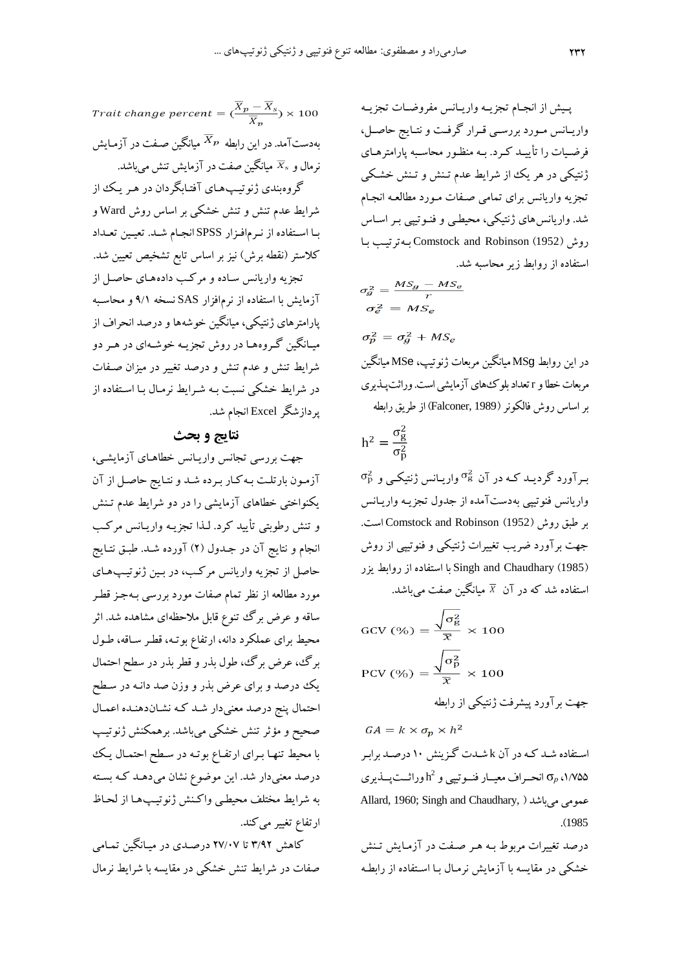Trait change percent  $=\frac{\overline{X}_p-\overline{X}_s}{\overline{X}} \times 100$ بهدستآمد. در این رابطه  $\overline{X}_{p}$  میانگین صـفت در آزمـایش نرمال و  $\overline{X}_s$  میانگین صفت در آزمایش تنش میباشد. گروهبندی ژنوتیپ های آفتابگردان در هر یک از

شرایط عدم تنش و تنش خشکی بر اساس روش Ward و بیا اسیتفاده از نیرمافیزار SPSS انجیام شید. تعییی تعیداد کلاستر (نقطه برش) نیز بر اساس تابع تشخیص تعیین شد. تجزیه واریانس ساده و مرکب دادههای حاصل از آزمایش با استفاده از نرمافزار SAS نسخه ۹/۱ و محاسبه پارامترهای ژنتیکی، میانگین خوشهها و درصد انحراف از

مییاندی گیروههیا در روش تجزیی خوشی ای در هیر دو شرایط تنش و عدم تنش و درصد تغییر در میزان صـفات در شرایط خشکی نسبت بی شیرایط نرمیا بیا اسیتفاده از پردازشدر Excel انجام شد.

# **نتایج و بحث**

جهت بررسی تجانس وارییانس خطاهیای آز مایشیی، آزمیون بارتلیت بی کیار بیرده شید و نتیایر حاصیل از آن یکنواختی خطاهای آزمایشی را در دو شرایط عدم تین و تنش رطوبتی تأیید کرد. لـذا تجزیـه واریـانس مرکـب انجام و نتایج آن در جـدول (۲) آورده شـد. طبـق نتـایج حاصل از تجزی واریانس مرکیب، در بیی ژنوتییپ هیای مورد مطالعه از نظر تمام صفات مورد بررسی بـهجـز قطـر ساقه و عرض برگ تنوع قابل ملاحظهای مشاهده شد. اثر محیط برای عملکرد دانه، ارتفاع بوتـه، قطـر سـاقه، طـول برگ، عرض برگ، طول بذر و قطر بذر در سطح احتمال یک درصد و برای عرض بذر و وزن صد دانی در سیطح احتمال پنج درصد معنیدار شـد کـه نشـاندهنـده اعمـال صحیح و مؤثر تنش خشکی میباشد. برهمکنش ژنوتیپ با محیط تنهیا بیرای ارتفیاع بوتی در سیطح احتمیا ییک درصد معنیدار شد. این موضوع نشان میدهـد کـه بسـته به شرایط مختلف محیطی واکنش ژنوتیپ هیا از لحیاظ ارتفاع تغییر میکند.

کاهش ۳/۹۲ تا ۲۷/۰۷ درصدی در میـانگین تمـامی صفات در شرایط تنش خشکی در مقایسه با شرایط نرمال

پـیش از انجـام تجزیـه واریـانس مفروضـات تجزیـه وارییانس مییورد بررسیی ییرار گرفیت و نتیایر حاصییل، فرضیات را تأییــد کــرد. بــه منظـور محاسـبه پارامترهــای ژنتیکی در هر یک از شرایط عدم تـنش و تـنش خشـکی تجزی واریانس برای تمامی صیفات میورد مطالعی انجیام شد. واریانسهای ژنتیکی، محیطیی و فنیوتیپی بیر اسیاف روش )1952( Robinson and Comstock بی ترتییب بیا استفاده از روابط زیر محاسب شد.

در ای روابطMS<sup>g</sup> میاندی مربعات ژنوتیپ، MS<sup>e</sup> میاندی مربعات خطا و rتعداد بلوسهای آزمایشی است. وراچتپیذیری بر اساف روش فالکونر )1989 ,Falconer )از طریق رابط

$$
h^2 = \frac{\sigma_g^2}{\sigma_p^2}
$$

 $\sigma_{\rm p}^2$  به آورد گردیید کیه در آن  $\sigma_{\rm g}^2$  وارییانس ژنتیکی و واریانس فنوتیپی بهدستآمده از جدول تجزیـه واریـانس بر طبق روش (1952) Comstock and Robinson است. جهت برآورد ضریب تغییرات ژنتیکی و فنوتیپی از روش )1985( Chaudhary and Singh با استفاده از روابط یزر استفاده شد که در آن  $\overline{X}$  میانگین صفت میباشد.

$$
GCV (%) = \frac{\sqrt{\sigma_{g}^{2}}}{\overline{x}} \times 100
$$
  
PCV (%) =  $\frac{\sqrt{\sigma_{p}^{2}}}{\overline{x}} \times 100$   
\*,  $\sqrt{\sigma_{g}^{2}} \times 100$   
gap;  $\sqrt{\sigma_{g}^{2} \cdot \overline{x}}$ 

$$
GA = k \times \sigma_p \times h^2
$$

استفاده شـد کـه در آن k شـدت گـزینش ۱۰ درصـد برابـر ده۱٬۷۵۵ انحـراف معیــار فنــوتیپی و  $\mathrm{h}^{2}$ وراثــتپــذیری  $\sigma_{p}$  د Allard, 1960; Singh and Chaudhary, ( میباشد عمومی .)<sup>1985</sup>

درصد تغییرات مربوط بـه هـر صـفت در آزمـایش تـنش خشکی در مقایسه با آزمایش نرمال بـا اسـتفاده از رابطـه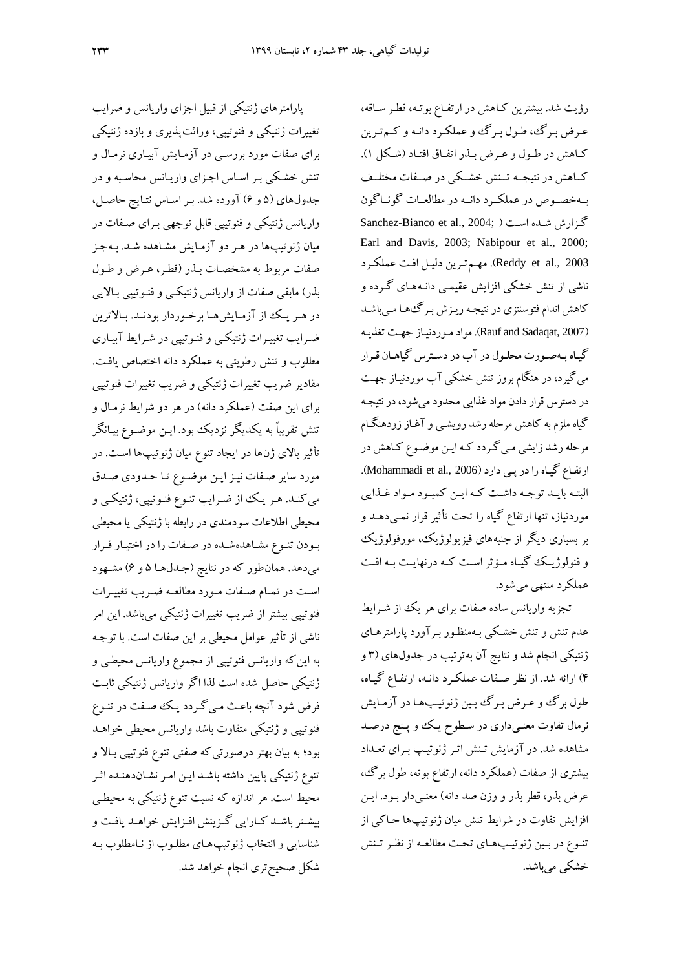پارامترهای ژنتیکی از قبیل اجزای واریانس و ضرایب تغییرات ژنتیکی و فنوتیپی، وراچتپذیری و بازده ژنتیکی برای صفات مورد بررسیی در آزمیای آبییاری نرمیا و تنش خشکی بر اساس اجزای واریانس محاسبه و در جدول های (۵ و ۶) آورده شد. بـر اسـاس نتـایج حاصـل، واریانس ژنتیکی و فنوتیپی ابل توجهی بیرای صیفات در میان ژنوتیپها در هر دو آزمایش مشاهده شـد. بـهجـز صفات مربوط به مشخصات بـذر (قطـر، عـرض و طـول بذر) مابقی صفات از واریانس ژنتیکی و فنـوتیپی بـالایی در هر یک از آزمایش ها برخوردار بودنـد. بـالاترین ایرایب تغیییرات ژنتیکیی و فنیوتیپی در شیرایط آبییاری مطلوب و تنش رطوبتی به عملکرد دانه اختصاص یافت. مقادیر ضریب تغییرات ژنتیکی و ضریب تغییرات فنوتیپی برای این صفت (عملکرد دانه) در هر دو شرایط نرمال و تنش تقریباً به یکدیگر نزدیک بود. ایـن موضـوع بیـانگر ت چیر باشی ژنها در ایجاد تنوع میان ژنوتیپها اسیت . در مورد سایر صفات نیز ایـن موضـوع تـا حـدودی صـدق میکند. هر یک از ضرایب تنوع فنوتیپی، ژنتیکی و محیطی اطالعات سودمندی در رابط با ژنتیکی یا محیطی بیودن تنیوع مشیاهدهشیده در صیفات را در اختییار یرار میدهد. همان طور که در نتایج (جـدلهـا ۵ و ۶) مشـهود است در تمـام صـفات مـورد مطالعـه ضـریب تغییـرات فنوتیپی بیشتر از ضریب تغییرات ژنتیکی میباشد. این امر ناشی از تأثیر عوامل محیطی بر این صفات است. با توجه به این که واریانس فنوتیپی از مجموع واریانس محیطبی و ژنتیکی حاصل شده است لذا اگر واریانس ژنتیکی چابیت فرض شود آنچه باعث میی گردد یک صیفت در تنیوع فنوتیپی و ژنتیکی متفاوت باشد واریانس محیطی خواهید بود؛ به بیان بهتر درصورتیکه صفتی تنوع فنوتیپی بالا و تنوع ژنتیکی پایین داشته باشد ایـن امـر نشـاندهنـده اثـر محیط است. هر اندازه که نسبت تنوع ژنتیکی به محیطی بیشتر باشـد کـارایی گـزینش افـزایش خواهـد یافـت و شناسایی و انتخاب ژنوتیپهای مطلوب از نامطلوب به شکل صحیحتری انجام خواهد شد.

رؤیت شد. بیشترین کاهش در ارتفاع بوته، قطر ساقه، عرض برگ، طول برگ و عملکرد دانه و کم ترین کاهش در طول و عرض بیذر اتفاق افتیاد (شکل ۱). کـاهش در نتیجــه تــنش خشــکی در صــفات مختلــف بهخصوص در عملک د دانیه در مطالعیات گونیاگون Sanchez-Bianco et al., 2004; ( اسیت شیده گیزارش Earl and Davis, 2003; Nabipour et al., 2000; 2003 .,al et Reddy). مهیم تیری دلییل افیت عملکیرد ناشی از تنش خشکی افزایش عقیمی دانـههـای گـرده و کاهش اندام فتوسنتزی در نتیجه ریزش برگئها مییاشد )2007 ,Sadaqat and Rauf). مواد میورد نییاز جهیت تغذیی گیاه به صورت محلول در آب در دسترس گیاهان قرار می گیرد، در هنگام بروز تنش خشکی آب موردنیـاز جهـت در دسترس قرار دادن مواد غذایی محدود میشود، در نتیجه گیاه ملزم به کاهش مرحله رشد رویشــی و آغـاز زودهنگـام مرحله رشد زایشی میی گردد که این موضوع کاهش در ارتفاع گیاه را در پیی دارد (Mohammadi et al., 2006). البته بایـد توجـه داشـت کـه ایـن کمبـود مـواد غـذایی موردنیاز، تنها ارتفاع گیاه را تحت تأثیر قرار نمـیدهـد و بر بسیاری دیگر از جنبههای فیزیولوژیک، مورفولوژیک و فنولوژییک گییاه مییؤچر اسیت کی درنهاییت بی افیت عملکرد منتهی میشود.

تجزیه واریانس ساده صفات برای هر یک از شـرایط عدم تنش و تنش خشکی بـهمنظـور بـرآورد پارامترهـای ژنتیکی انجام شد و نتایج آن به ترتیب در جدولهای (۳ و ۴) ارائه شد. از نظر صهفات عملکرد دانـه، ارتفـاع گیـاه، طول برگ و عرض برگ بین ژنوتیپها در آزمایش نرمال تفاوت معنـیداری در سـطوح یـک وو پـنج درصـد مشاهده شد. در آزمایش تـنش اثـر ژنوتیـپ بـرای تعـداد بیشتری از صفات (عملکرد دانه، ارتفاع بوته، طول برگ، عرض بذر، قطر بذر و وزن صد دانه) معنـیدار بـود. ایـن افزایش تفاوت در شرایط تنش میان ژنوتیپها حـاکی از تنوع در بین ژنوتیپهای تحت مطالعه از نظر تـنش خشکی می باشد.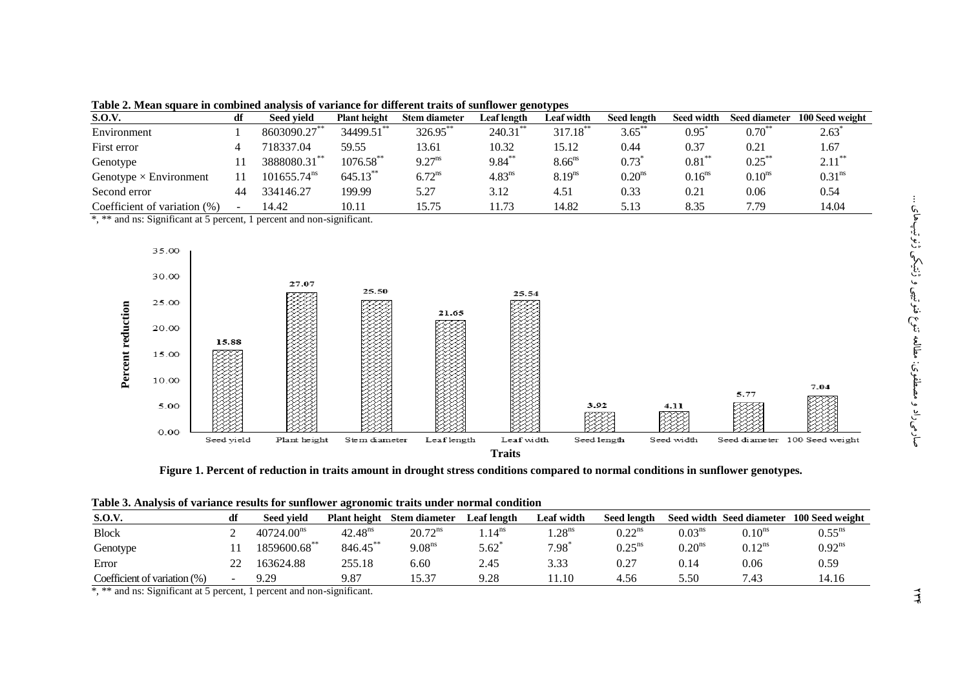| <b>S.O.V.</b>                 | df                       | <b>Seed vield</b>       | <b>Plant height</b> | <b>Stem diameter</b> | Leaf length        | Leaf width             | <b>Seed length</b> | <b>Seed width</b> | <b>Seed diameter</b> | 100 Seed weight      |
|-------------------------------|--------------------------|-------------------------|---------------------|----------------------|--------------------|------------------------|--------------------|-------------------|----------------------|----------------------|
| Environment                   |                          | 8603090.27**            | 34499.51**          | 326.95**             | 240.31             | $317.18$ <sup>**</sup> | $3.65***$          | 0.95              | $0.70^{**}$          | 2.63                 |
| First error                   |                          | 718337.04               | 59.55               | 13.61                | 10.32              | 15.12                  | 0.44               | 0.37              | 0.21                 | 1.67                 |
| Genotype                      |                          | 3888080.31              | $1076.58$ **        | $9.27^{ns}$          | $9.84***$          | $8.66$ <sup>ns</sup>   | 0.73               | $0.81***$         | $0.25***$            | $2.11$ <sup>**</sup> |
| Genotype $\times$ Environment |                          | 101655.74 <sup>ns</sup> | 645.13**            | $6.72^{ns}$          | 4.83 <sup>ns</sup> | 8.19 <sup>ns</sup>     | 0.20 <sup>ns</sup> | $0.16^{ns}$       | $0.10$ <sup>ns</sup> | 0.31 <sup>ns</sup>   |
| Second error                  | 44                       | 334146.27               | 199.99              | 5.27                 | 3.12               | 4.51                   | 0.33               | 0.21              | 0.06                 | 0.54                 |
| Coefficient of variation (%)  | $\overline{\phantom{a}}$ | 14.42                   | 10.11               | 15.75                | 1.73               | 14.82                  | 5.13               | 8.35              | 7.79                 | 14.04                |

**Table 2. Mean square in combined analysis of variance for different traits of sunflower genotypes**

\*, \*\* and ns: Significant at 5 percent, 1 percent and non-significant.



**Figure 1. Percent of reduction in traits amount in drought stress conditions compared to normal conditions in sunflower genotypes.**

|                                 | Table of Amarysis of Variance results for sumfower agronomic transfunctional condition |                        |                     |                      |                   |                   |                      |                    |                          |                 |
|---------------------------------|----------------------------------------------------------------------------------------|------------------------|---------------------|----------------------|-------------------|-------------------|----------------------|--------------------|--------------------------|-----------------|
| <b>S.O.V.</b>                   | df                                                                                     | Seed vield             | <b>Plant height</b> | <b>Stem diameter</b> | Leaf length       | Leaf width        | <b>Seed length</b>   |                    | Seed width Seed diameter | 100 Seed weight |
| <b>Block</b>                    |                                                                                        | 40724.00 <sup>ns</sup> | $42.48^{ns}$        | $20.72^{ns}$         | .14 <sup>ns</sup> | .28 <sup>ns</sup> | 0.22 <sup>ns</sup>   | 0.03 <sup>ns</sup> | 0.10 <sup>ns</sup>       | $0.55^{ns}$     |
| Genotype                        |                                                                                        | 1859600.68**           | $846.45***$         | 9.08 <sup>ns</sup>   | $5.62^{\degree}$  | $7.98^{^{\circ}}$ | $0.25$ <sup>ns</sup> | 0.20 <sup>ns</sup> | $0.12^{ns}$              | $0.92^{ns}$     |
| Error                           |                                                                                        | 163624.88              | 255.18              | 6.60                 | 2.45              | 3.33              | 0.27                 | 9.14               | 0.06                     | 0.59            |
| Coefficient of variation $(\%)$ |                                                                                        | 9.29                   | 9.87                | 15.37                | 9.28              | 1.10              | 4.56                 | 5.50               | 7.43                     | 14.16           |

**Table 3. Analysis of variance results for sunflower agronomic traits under normal condition**

\*, \*\* and ns: Significant at 5 percent, 1 percent and non-significant.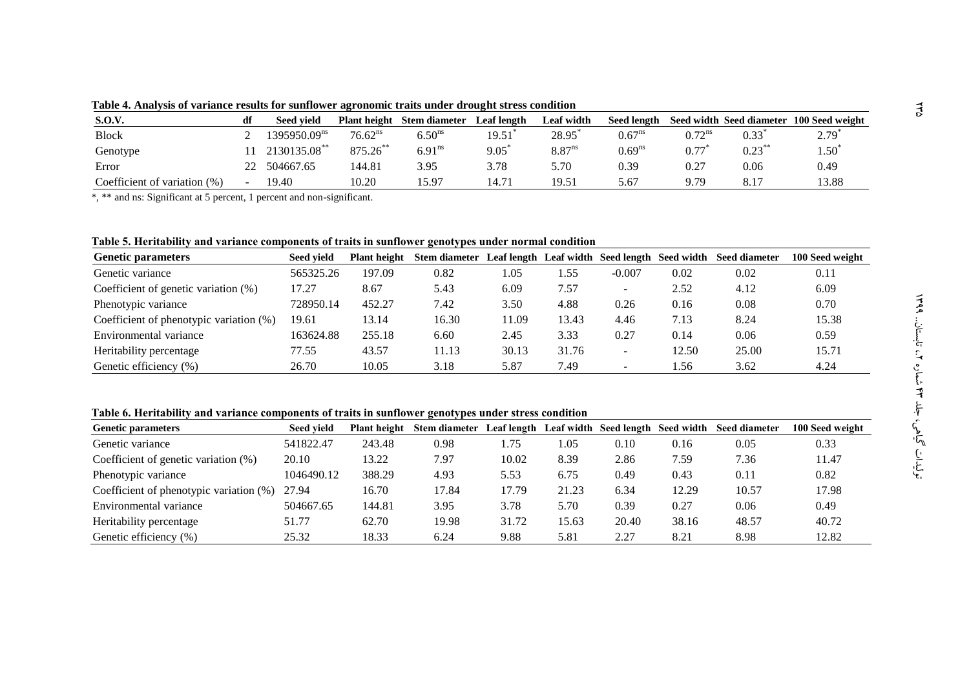| <b>S.O.V.</b>                   | df             | <b>Seed vield</b>        | <b>Plant height</b> | Stem diameter      | Leaf length | Leaf width         | <b>Seed length</b> |                      | Seed width Seed diameter | 100 Seed weight   |
|---------------------------------|----------------|--------------------------|---------------------|--------------------|-------------|--------------------|--------------------|----------------------|--------------------------|-------------------|
| <b>Block</b>                    |                | $1395950.09^{\text{ns}}$ | $76.62^{ns}$        | 6.50 <sup>ns</sup> | 19.51       | 28.95              | $0.67^{ns}$        | $0.72$ <sup>ns</sup> | 0.33                     | $2.79^{^{\circ}}$ |
| Genotype                        |                | 2130135.08**             | $875.26$ **         | 6.91 <sup>ns</sup> | 9.05        | 8.87 <sup>ns</sup> | 0.69 <sup>ns</sup> | 0.77                 | $0.23***$                | $1.50^{\degree}$  |
| Error                           |                | 504667.65                | 144.81              | 3.95               | 3.78        | 5.70               | 0.39               | 0.27                 | 0.06                     | 0.49              |
| Coefficient of variation $(\%)$ | $\blacksquare$ | 19.40                    | 10.20               | 15.97              |             | 19.51              | 5.67               | 9.79                 | 8.17                     | 13.88             |

**Table 4. Analysis of variance results for sunflower agronomic traits under drought stress condition**

\*, \*\* and ns: Significant at 5 percent, 1 percent and non-significant.

**Table 5. Heritability and variance components of traits in sunflower genotypes under normal condition**

| <b>Genetic parameters</b>               | Seed vield | <b>Plant height</b> | Stem diameter Leaf length Leaf width Seed length Seed width |       |       |                          |       | <b>Seed diameter</b> | 100 Seed weight |
|-----------------------------------------|------------|---------------------|-------------------------------------------------------------|-------|-------|--------------------------|-------|----------------------|-----------------|
| Genetic variance                        | 565325.26  | 197.09              | 0.82                                                        | 1.05  | 1.55  | $-0.007$                 | 0.02  | 0.02                 | 0.11            |
| Coefficient of genetic variation $(\%)$ | 17.27      | 8.67                | 5.43                                                        | 6.09  | 7.57  | $\overline{\phantom{a}}$ | 2.52  | 4.12                 | 6.09            |
| Phenotypic variance                     | 728950.14  | 452.27              | 7.42                                                        | 3.50  | 4.88  | 0.26                     | 0.16  | 0.08                 | 0.70            |
| Coefficient of phenotypic variation (%) | 19.61      | 13.14               | 16.30                                                       | 11.09 | 13.43 | 4.46                     | 7.13  | 8.24                 | 15.38           |
| Environmental variance                  | 163624.88  | 255.18              | 6.60                                                        | 2.45  | 3.33  | 0.27                     | 0.14  | 0.06                 | 0.59            |
| Heritability percentage                 | 77.55      | 43.57               | 11.13                                                       | 30.13 | 31.76 | $\overline{\phantom{a}}$ | 12.50 | 25.00                | 15.71           |
| Genetic efficiency (%)                  | 26.70      | 10.05               | 3.18                                                        | 5.87  | 7.49  | $\,$                     | .56   | 3.62                 | 4.24            |

**Table 6. Heritability and variance components of traits in sunflower genotypes under stress condition**

| <b>Genetic parameters</b>                  | <b>Seed vield</b> | <b>Plant height</b> | <b>Stem diameter</b> | Leaf length |       | Leaf width Seed length Seed width |       | <b>Seed diameter</b> | 100 Seed weight |
|--------------------------------------------|-------------------|---------------------|----------------------|-------------|-------|-----------------------------------|-------|----------------------|-----------------|
| Genetic variance                           | 541822.47         | 243.48              | 0.98                 | 1.75        | 1.05  | 0.10                              | 0.16  | 0.05                 | 0.33            |
| Coefficient of genetic variation (%)       | 20.10             | 13.22               | 7.97                 | 10.02       | 8.39  | 2.86                              | 7.59  | 7.36                 | 11.47           |
| Phenotypic variance                        | 1046490.12        | 388.29              | 4.93                 | 5.53        | 6.75  | 0.49                              | 0.43  | 0.11                 | 0.82            |
| Coefficient of phenotypic variation $(\%)$ | 27.94             | 16.70               | 17.84                | 17.79       | 21.23 | 6.34                              | 12.29 | 10.57                | 17.98           |
| Environmental variance                     | 504667.65         | 144.81              | 3.95                 | 3.78        | 5.70  | 0.39                              | 0.27  | 0.06                 | 0.49            |
| Heritability percentage                    | 51.77             | 62.70               | 19.98                | 31.72       | 15.63 | 20.40                             | 38.16 | 48.57                | 40.72           |
| Genetic efficiency (%)                     | 25.32             | 18.33               | 6.24                 | 9.88        | 5.81  | 2.27                              | 8.21  | 8.98                 | 12.82           |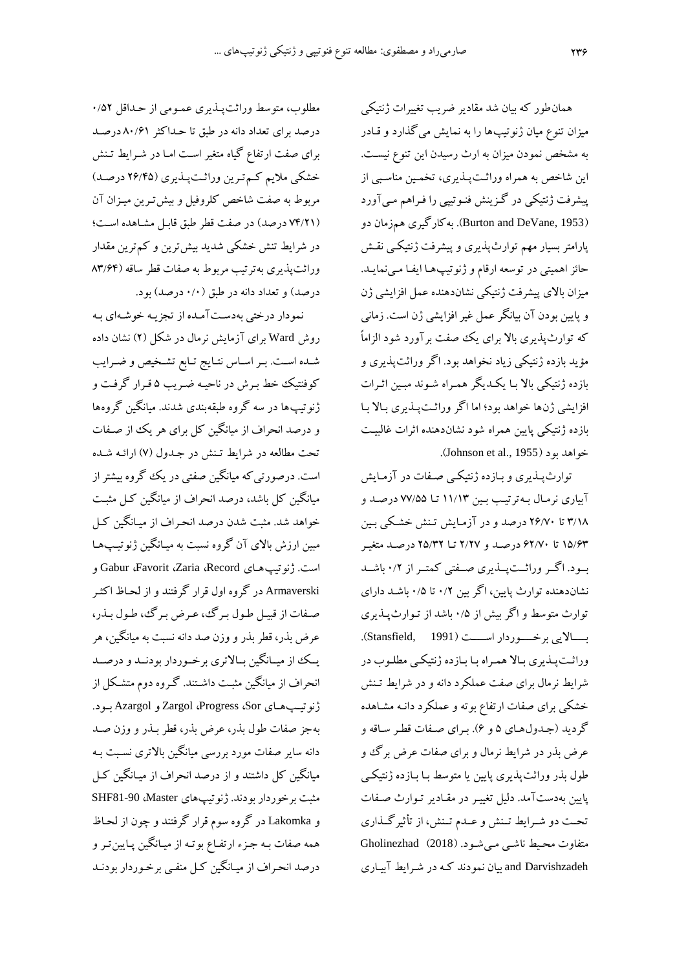همان طور که بیان شد مقادیر ضریب تغییرات ژنتیکی میزان تنوع میان ژنوتیپها را به نمایش میگذارد و قـادر به مشخص نمودن میزان به ارث رسیدن این تنوع نیست. این شاخص به همراه وراثت پیذیری، تخمین مناسبی از پیشرفت ژنتیکی در گـزینش فنـوتیپی را فـراهم مـیآورد )1953 ,DeVane and Burton). ب کارگیری همزمان دو پارامتر بسیار مهم توارثپذیری و پیشرفت ژنتیکیی نای حائز اهمیتی در توسعه ارقام و ژنوتیپها ایفـا مـینمایـد. میزان باشی پیشرفت ژنتیکی نشاندهنده عمل افزایشی ژن و پایین بودن آن بیانگر عمل غیر افزایشی ژن است. زمانی ک توارثپذیری باش برای یک صفت برآورد شود الزاماً مؤید بازده ژنتیکی زیاد نخواهد بود. اگر وراثتپذیری و بازده ژنتیکی باش بیا یکیدیدر همیراه شیوند مبیی اچیرات افزایشی ژنها خواهد بود؛ اما اگر وراچیت پیذیری بیاش بیا بازده ژنتیکی پایین همراه شود نشاندهنده اثرات غالبیت .<br>خواهد بود ( Johnson et al., 1955).

توارثپیذیری و بیازده ژنتیکیی صیفات در آزمیای آبیاری نرمیا بی ترتییب بیی 99/94 تیا 77/55 درصید و 4/90 تا 20/78 درصد و در آزمیای تین خشیکی بیی 95/04 تا 02/78 درصید و 2/27 تیا 25/42 درصید متغییر بییود. اگییر وراچییتپییذیری صییفتی کمتییر از 8/2 باشیید نشاندهنده توارث پایین، اگر بین ۰/۲ تا ۰/۵ باشد دارای توارث متوسط و اگر بیش از ۰/۵ باشد از تـوارثپــذیری بییییاشیی برخییییوردار اسییییت )1991 ,Stansfield). وراچیت پیذیری بیاش همیراه بیا بیازده ژنتیکیی مطلیوب در شرایط نرمال برای صفت عملکرد دانه و در شرایط تـنش خشکی برای صفات ارتفاع بوته و عملکرد دانـه مشـاهده گردید (جدول های ۵ و ۶). بهرای صفات قطر ساقه و عرض بذر در شرایط نرمال و برای صفات عرض برگ و طول بذر وراثتپذیری پایین یا متوسط بـا بـازده ژنتیکـی پایین بهدستآمد. دلیل تغییر در مقـادیر تـوارث صـفات تحت دو شـرایط تـنش و عـدم تـنش، از تأثیرگـذاری متفاوت محییط ناشیی میی شیود . )2018( Gholinezhad Darvishzadeh and بیان نمودند کی در شیرایط آبییاری

مطلوب، متوسط وراثت پیذیری عمومی از حداقل ٥٢/٠ درصد برای تعداد دانه در طبق تا حـداکثر ۸۰/۶۱ درصـد برای صفت ارتفاع گیاه متغیر اسیت امیا در شیرایط تین خشکی مالیم کیم تیری وراچیت پیذیری )20/35 درصید ( مربوط به صفت شاخص کلروفیل و بیش تـرین میـزان آن )73/29 درصد( در صفت طر طبق ابیل مشیاهده اسیت؛ در شرایط تنش خشکی شدید بیش ترین و کم ترین مقدار وراثتپذیری به ترتیب مربوط به صفات قطر ساقه (۸۳/۶۴ درصد) و تعداد دانه در طبق (۱/۰ درصد) بود.

نمودار درختی بهدستآمله از تجزیـه خوشـهای بـه روش Ward برای آزمایش نرمال در شکل (۲) نشان داده شده است. بـر اسـاس نتـایج تـابع تشـخیص و ضـرایب کوفنتیک خط بیرش در ناحیی ایریب 5 یرار گرفیت و ژنوتیپها در سه گروه طبقهبندی شدند. میانگین گروهها و درصد انحراف از میانگین کل برای هر یک از صـفات تحت مطالعه در شرایط تـنش در جـدول (۷) ارائـه شـده است. درصورتیک میاندی صفتی در یک گروه بیشتر از میانگین کل باشد، درصد انحراف از میانگین کـل مثبـت خواهد شد. مثبت شدن درصد انحراف از میـانگین کـل مبین ارزش بالای آن گروه نسبت به میـانگین ژنوتیـپـهـا و Gabur ،Favorit ،Zaria ،Record ژنوتیپهیای .است Armaverski در گروه اول قرار گرفتند و از لحـاظ اکثـر صفات از قبیل طول برگ، عرض برگ، طول بذر، عرض بذر، قطر بذر و وزن صد دانه نسبت به میانگین، هر یییک از میییاندی بییاشتری برخییوردار بودنیید و درصیید انحراف از میانگین مثبت داشـتند. گـروه دوم متشـکل از .بییود Azargol و Zargol ،Progress ،Sor ژنوتییپهییای به جز صفات طول بذر، عرض بذر، قطر بـذر و وزن صـد دانه سایر صفات مورد بررسی میانگین بالاتری نسبت بـه میانگین کل داشتند و از درصد انحراف از میـانگین کـل مثبت برخوردار بودند. ژنوتیپهای SHF81-90 ،Master و Lakomka در گروه سوم رار گرفتند و چون از لحیا هم صفات بی جیزء ارتفیاع بوتی از مییاندی پیایی تیر و درصد انحیراف از مییاندی کیل منفیی برخیوردار بودنید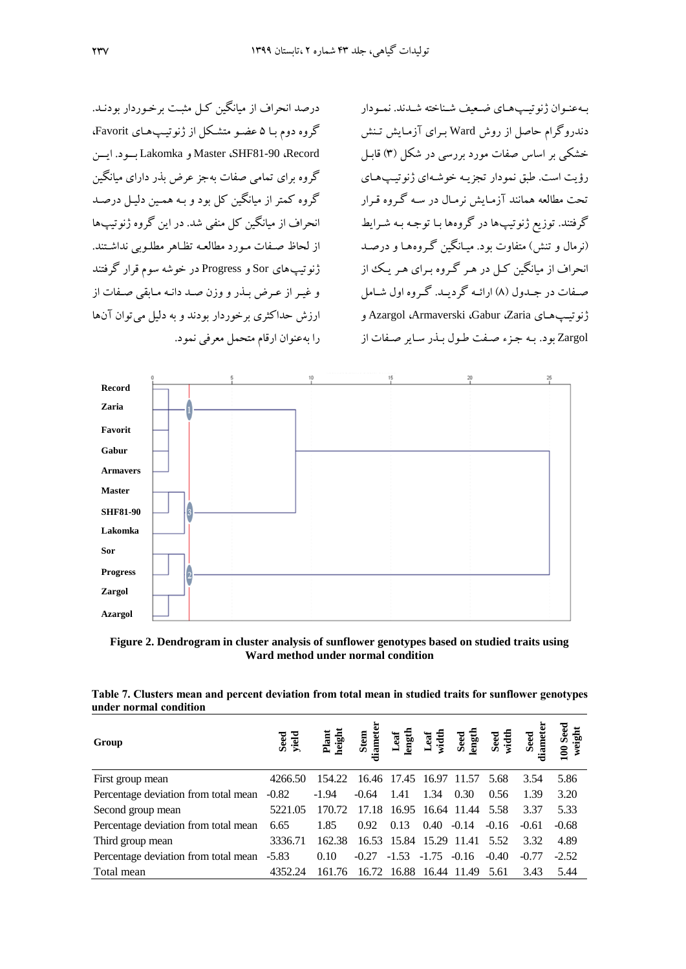درصد انحراف از مبانگین کیل مثبت برخوردار بودنید. گروه دوم بیا 5 عضیو متشیکل از ژنوتییپ هیای Favorit، اییی .بییود Lakomka و Master ،SHF81-90 ،Record گروه برای تمامی صفات بهجز عرض بذر دارای میانگین گروه کمتر از میانگین کل بود و بـه همـین دلیـل درصـد انحراف از میاندی کل منفی شد. در ای گروه ژنوتیپها از لحاظ صفات مورد مطالعه تظاهر مطلوبی نداشتند. ژنوتیپهای Sor و Progress در خوشه سوم قرار گرفتند و غیر از عرض بیذر و وزن صید دانیه میابقی صیفات از ارزش حداکثری برخوردار بودند و به دلیل می توان آنها را به عنوان ارقام متحمل معرفی نمود.

بیه عنیوان ژنو تیپ هیای ضعیف شیناخته شیدند. نمیودار دندروگرام حاصل از روش Ward برای آزمایش تینش خشکی بر اساس صفات مورد بررسی در شکل (۳) قابیل رؤیت است. طبق نمودار تجزیی خوشی ای ژنوتییپ هیای تحت مطالعه همانند آزمیایش نرمیال در سیه گیروه قیرار گرفتند. توزیل ژنوتیپها در گروهها بیا توجی بی شیرایط (نرمال و تنش) متفاوت بود. مییانگین گیروه هیا و درصید انحراف از میاندی کیل در هیر گیروه بیرای هیر ییک از صیفات در جییدو )0( ارائی گردیید. گیروه او شیامل و Azargol ،Armaverski ،Gabur ،Zaria ژنوتییپهیای Zargol بود. بی جیزء صیفت طیو بیذر سیایر صیفات از



**Figure 2. Dendrogram in cluster analysis of sunflower genotypes based on studied traits using Ward method under normal condition**

**Table 7. Clusters mean and percent deviation from total mean in studied traits for sunflower genotypes under normal condition**

| Group                                | Seed<br>yield | Plant<br>heigh |         |               |                         |                              |         | Seed<br>width<br>Seed<br>iamet | 100 Seed<br>weight |
|--------------------------------------|---------------|----------------|---------|---------------|-------------------------|------------------------------|---------|--------------------------------|--------------------|
| First group mean                     | 4266.50       | 154.22         |         |               | 16.46 17.45 16.97 11.57 |                              | 5.68    | 3.54                           | 5.86               |
| Percentage deviation from total mean | $-0.82$       | $-1.94$        | $-0.64$ | -1.41         | 1.34                    | 0.30                         | 0.56    | 1.39                           | 3.20               |
| Second group mean                    | 5221.05       | 170.72         |         |               |                         | 17.18 16.95 16.64 11.44 5.58 |         | 3.37                           | 5.33               |
| Percentage deviation from total mean | 6.65          | 1.85           | 0.92    | 0.13          | 0.40                    | $-0.14$                      | $-0.16$ | $-0.61$                        | $-0.68$            |
| Third group mean                     | 3336.71       | 162.38         |         |               |                         | 16.53 15.84 15.29 11.41 5.52 |         | 3.32                           | 4.89               |
| Percentage deviation from total mean | $-5.83$       | 0.10           | $-0.27$ | $-1.53 -1.75$ |                         | $-0.16$                      | $-0.40$ | $-0.77$                        | $-2.52$            |
| Total mean                           | 4352.24       | 161.76         |         |               |                         | 16.72 16.88 16.44 11.49      | 5.61    | 3.43                           | 5.44               |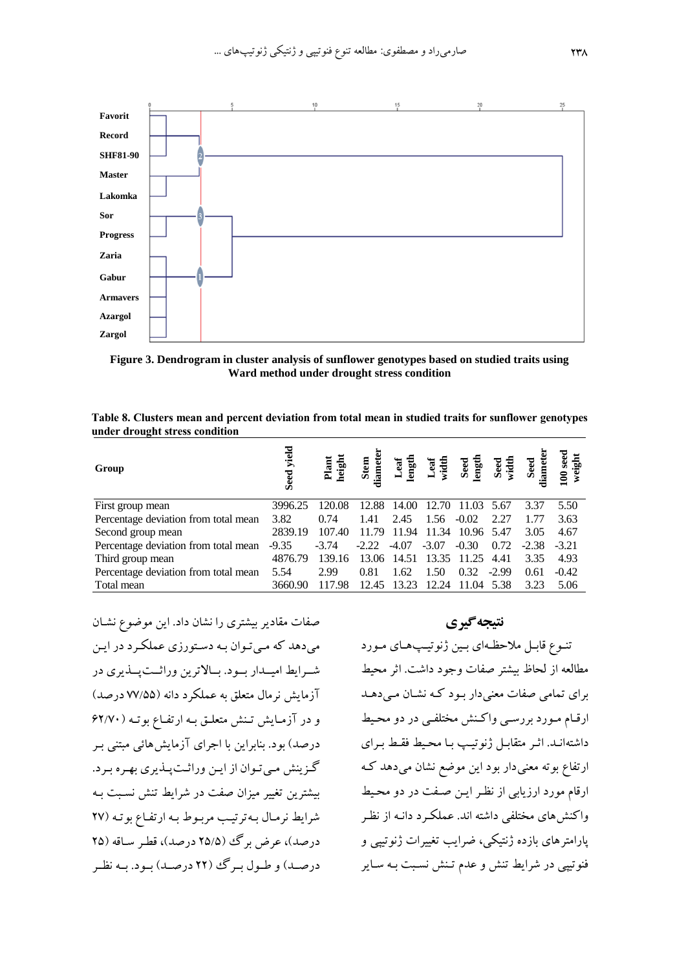

**Figure 3. Dendrogram in cluster analysis of sunflower genotypes based on studied traits using Ward method under drought stress condition**

| Table 8. Clusters mean and percent deviation from total mean in studied traits for sunflower genotypes |  |
|--------------------------------------------------------------------------------------------------------|--|
| under drought stress condition                                                                         |  |
|                                                                                                        |  |

| Group                                | yield<br>Seed | Plant<br>heigh | Stem<br>diamet | Leaf<br>ength | Leaf<br>width | Seed<br>ength | Seed<br>width | Seed<br>liamet | $100$ seed<br>weight |
|--------------------------------------|---------------|----------------|----------------|---------------|---------------|---------------|---------------|----------------|----------------------|
| First group mean                     | 3996.25       | 120.08         | 12.88          | 14.00         | 12.70         | 11.03         | 5.67          | 3.37           | 5.50                 |
| Percentage deviation from total mean | 3.82          | 0.74           | 1.41           | 2.45          | 1.56          | $-0.02$       | 2.27          | 1.77           | 3.63                 |
| Second group mean                    | 2839.19       | 107.40         | 11.79          | 11.94         | 11.34         | 10.96         | 5.47          | 3.05           | 4.67                 |
| Percentage deviation from total mean | $-9.35$       | $-3.74$        | $-2.22$        | $-4.07$       | $-3.07$       | $-0.30$       | 0.72          | $-2.38$        | $-3.21$              |
| Third group mean                     | 4876.79       | 139.16         | 13.06          | 14.51         | 13.35         | 11.25         | 4.41          | 3.35           | 4.93                 |
| Percentage deviation from total mean | 5.54          | 2.99           | 0.81           | 1.62          | 1.50          | 0.32          | $-2.99$       | 0.61           | $-0.42$              |
| Total mean                           | 3660.90       | 117.98         | 12.45          | 13.23         | 12.24         | 11.04         | 5.38          | 3.23           | 5.06                 |

صفات مقادیر بیشتری را نشان داد. این موضوع نشـان می دهد که می توان به دستورزی عملک رد در این شییرایط امیییدار بییود . بییاشتری وراچییت پییذیری در آزمایش نرمال متعلق به عملکرد دانه (۷۷/۵۵ درصد) و در آزمایش تنش متعلق به ارتفاع بوته (۶۲/۷۰ درصد) بود. بنابراین با اجرای آزمایش هائی مبتنی ب گزینش می تـوان از ایـن وراثـتپـذیری بهـره بـرد. بیشترین تغییر میزان صفت در شرایط تنش نسبت به شرایط نرمال به ترتیب مربوط به ارتفاع بوته (٢٧ درصد)، عرض برگ (۲۵/۵ درصد)، قطر ساقه (۲۵ درصد) و طول برگ (٢٢ درصد) بود. به نظر

**نتیجهگیری** تنـوع قابـل ملاحظـهای بـین ژنوتیـپهـای مـورد مطالعه از لحاظ بیشتر صفات وجود داشت. اثر محیط برای تمامی صفات معنیدار بیود کی نشیان میی دهید ارقـام مـورد بررسـی واکـنش مختلفـی در دو محـیط داشتهانید. اثیر متقابیل ژنوتیپ با محیط فقط بیرای ارتفاع بوته معنیدار بود این موضع نشان می دهد ک ارقام مورد ارزیابی از نظر این صفت در دو محیط واکنش های مختلفی داشته اند. عملکرد دانـه از نظـر پارامتر های بازده ژنتیکی، ضرایب تغییرات ژنوتیپی و فنوتیپی در شرایط تنش و عدم تـنش نسـبت بـه سـایر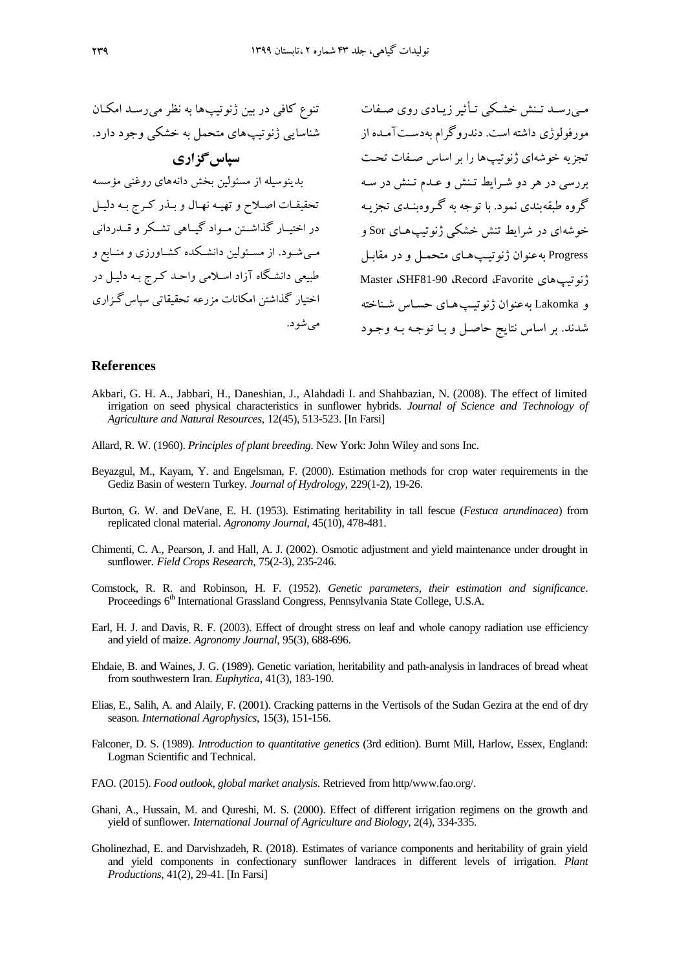میے دسید تینش خشیکی تیأثیر زییادی دوی صیفات مورفولوژی داشت است. دندروگرام ب دسیت آمیده از تجزیه خوشهای ژنوتیپها را بر اساس صیفات تحت بررسی در هر دو شرایط تینش و عبدم تینش در سه گروه طبقهبندی نمود. با توجه به گـروهبنـدی تجزیـه خوشهای در شرایط تنش خشکی ژنوتیپهای Sor و Progress به عنوان ژنوتیپ هـای متحمـل و در مقابـل Master ،SHF81-90 ،Record ،Favorite ژنوتیپهای و Lakomka به عنوان ژنوتیپ های حساس شناخته شدند. بر اساس نتایج حاصل و با توجه به وجود تنوع کافی در بین ژنوتیپها به نظر می رسد امکان شناسایی ژنوتیپهای متحمل به خشکی وجود دارد. **سپا گزاری** بدینوسیله از مسئولین بخش دانههای روغنی مؤسسه تحقیقات اصلاح و تهیه نهال و بذر کرج به دلیل در اختیییار گذاشییت مییواد گیییاهی تشییکر و ییدردانی مــیشــود. از مســئولین دانشــکده کشــاورزی و منــابع و طبیعی دانشگاه آزاد اسلامی واحـد کـرج بـه دلیـل در اختبار گذاشتن امکانات مزرعه تحقبقاتی سپاس گـزاری می شو د.

#### **References**

- Akbari, G. H. A., Jabbari, H., Daneshian, J., Alahdadi I. and Shahbazian, N. (2008). The effect of limited irrigation on seed physical characteristics in sunflower hybrids. *Journal of Science and Technology of Agriculture and Natural Resources*, 12(45), 513-523. [In Farsi]
- Allard, R. W. (1960). *Principles of plant breeding.* New York: John Wiley and sons Inc.
- Beyazgul, M., Kayam, Y. and Engelsman, F. (2000). Estimation methods for crop water requirements in the Gediz Basin of western Turkey. *Journal of Hydrology*, 229(1-2), 19-26.
- Burton, G. W. and DeVane, E. H. (1953). Estimating heritability in tall fescue (*Festuca arundinacea*) from replicated clonal material. *Agronomy Journal*, 45(10), 478-481.
- Chimenti, C. A., Pearson, J. and Hall, A. J. (2002). Osmotic adjustment and yield maintenance under drought in sunflower. *Field Crops Research*, 75(2-3), 235-246.
- Comstock, R. R. and Robinson, H. F. (1952). *Genetic parameters, their estimation and significance*. Proceedings 6<sup>th</sup> International Grassland Congress, Pennsylvania State College, U.S.A.
- Earl, H. J. and Davis, R. F. (2003). Effect of drought stress on leaf and whole canopy radiation use efficiency and yield of maize. *Agronomy Journal*, 95(3), 688-696.
- Ehdaie, B. and Waines, J. G. (1989). Genetic variation, heritability and path-analysis in landraces of bread wheat from southwestern Iran. *Euphytica*, 41(3), 183-190.
- Elias, E., Salih, A. and Alaily, F. (2001). Cracking patterns in the Vertisols of the Sudan Gezira at the end of dry season. *International Agrophysics*, 15(3), 151-156.
- Falconer, D. S. (1989). *Introduction to quantitative genetics* (3rd edition). Burnt Mill, Harlow, Essex, England: Logman Scientific and Technical.
- FAO. (2015). *Food outlook, global market analysis*. Retrieved from http/ww[w.fao.org/.](http://www.fao.org/)
- Ghani, A., Hussain, M. and Qureshi, M. S. (2000). Effect of different irrigation regimens on the growth and yield of sunflower. *International Journal of Agriculture and Biology*, 2(4), 334-335.
- Gholinezhad, E. and Darvishzadeh, R. (2018). Estimates of variance components and heritability of grain yield and yield components in confectionary sunflower landraces in different levels of irrigation. *Plant Productions*, 41(2), 29-41. [In Farsi]